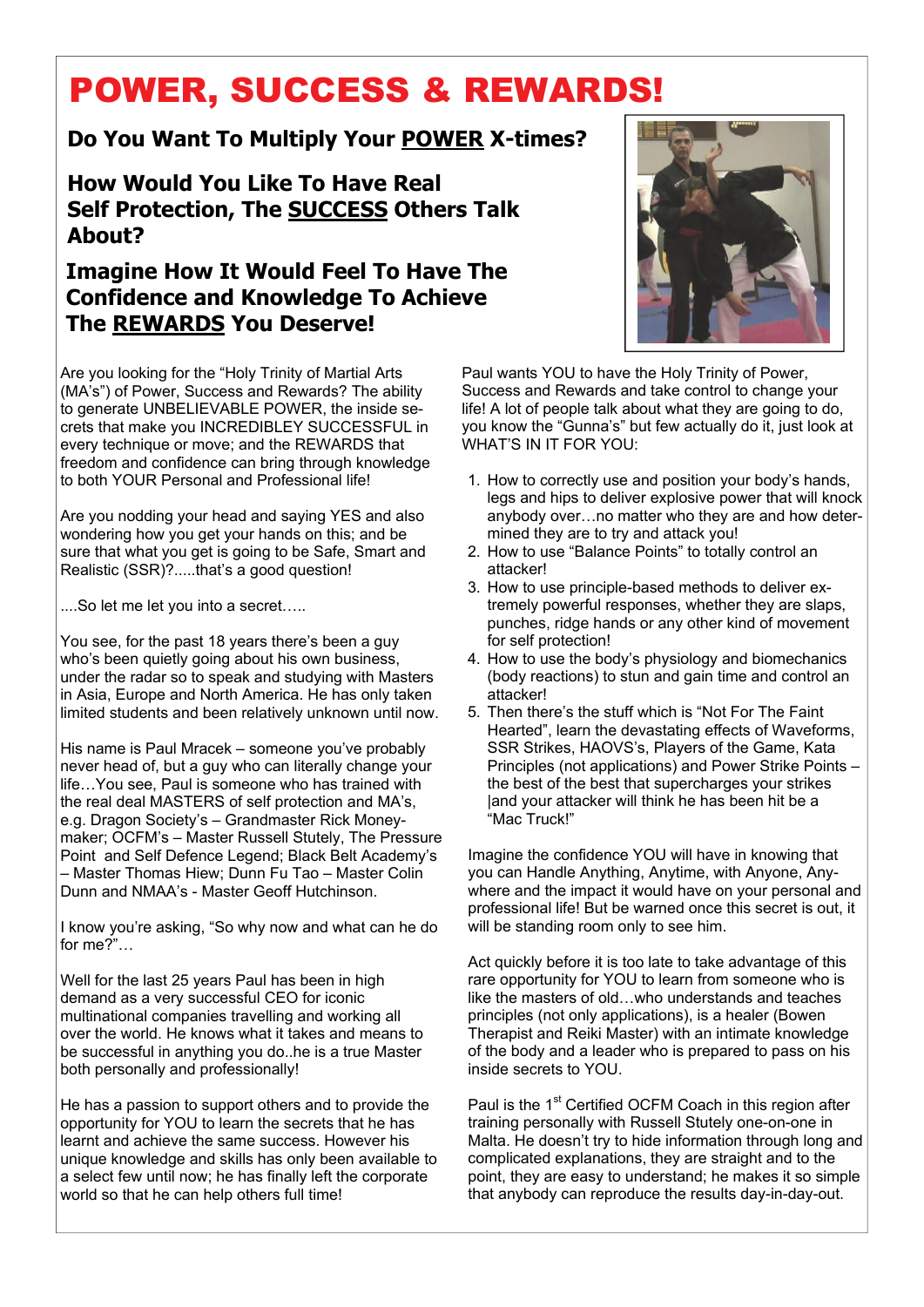# POWER, SUCCESS & REWARDS!

## **Do You Want To Multiply Your POWER X-times?**

**How Would You Like To Have Real Self Protection, The SUCCESS Others Talk About?** 

## **Imagine How It Would Feel To Have The Confidence and Knowledge To Achieve The REWARDS You Deserve!**

Are you looking for the "Holy Trinity of Martial Arts (MA's") of Power, Success and Rewards? The ability to generate UNBELIEVABLE POWER, the inside secrets that make you INCREDIBLEY SUCCESSFUL in every technique or move; and the REWARDS that freedom and confidence can bring through knowledge to both YOUR Personal and Professional life!

Are you nodding your head and saying YES and also wondering how you get your hands on this; and be sure that what you get is going to be Safe, Smart and Realistic (SSR)?.....that's a good question!

....So let me let you into a secret…..

You see, for the past 18 years there's been a guy who's been quietly going about his own business, under the radar so to speak and studying with Masters in Asia, Europe and North America. He has only taken limited students and been relatively unknown until now.

His name is Paul Mracek – someone you've probably never head of, but a guy who can literally change your life…You see, Paul is someone who has trained with the real deal MASTERS of self protection and MA's, e.g. Dragon Society's – Grandmaster Rick Moneymaker; OCFM's – Master Russell Stutely, The Pressure Point and Self Defence Legend; Black Belt Academy's – Master Thomas Hiew; Dunn Fu Tao – Master Colin Dunn and NMAA's - Master Geoff Hutchinson.

I know you're asking, "So why now and what can he do for me?"…

Well for the last 25 years Paul has been in high demand as a very successful CEO for iconic multinational companies travelling and working all over the world. He knows what it takes and means to be successful in anything you do..he is a true Master both personally and professionally!

He has a passion to support others and to provide the opportunity for YOU to learn the secrets that he has learnt and achieve the same success. However his unique knowledge and skills has only been available to a select few until now; he has finally left the corporate world so that he can help others full time!



Paul wants YOU to have the Holy Trinity of Power, Success and Rewards and take control to change your life! A lot of people talk about what they are going to do, you know the "Gunna's" but few actually do it, just look at WHAT'S IN IT FOR YOU:

- 1. How to correctly use and position your body's hands, legs and hips to deliver explosive power that will knock anybody over…no matter who they are and how determined they are to try and attack you!
- 2. How to use "Balance Points" to totally control an attacker!
- 3. How to use principle-based methods to deliver extremely powerful responses, whether they are slaps, punches, ridge hands or any other kind of movement for self protection!
- 4. How to use the body's physiology and biomechanics (body reactions) to stun and gain time and control an attacker!
- 5. Then there's the stuff which is "Not For The Faint Hearted", learn the devastating effects of Waveforms, SSR Strikes, HAOVS's, Players of the Game, Kata Principles (not applications) and Power Strike Points – the best of the best that supercharges your strikes land your attacker will think he has been hit be a "Mac Truck!"

Imagine the confidence YOU will have in knowing that you can Handle Anything, Anytime, with Anyone, Anywhere and the impact it would have on your personal and professional life! But be warned once this secret is out, it will be standing room only to see him.

Act quickly before it is too late to take advantage of this rare opportunity for YOU to learn from someone who is like the masters of old…who understands and teaches principles (not only applications), is a healer (Bowen Therapist and Reiki Master) with an intimate knowledge of the body and a leader who is prepared to pass on his inside secrets to YOU.

Paul is the 1<sup>st</sup> Certified OCFM Coach in this region after training personally with Russell Stutely one-on-one in Malta. He doesn't try to hide information through long and complicated explanations, they are straight and to the point, they are easy to understand; he makes it so simple that anybody can reproduce the results day-in-day-out.